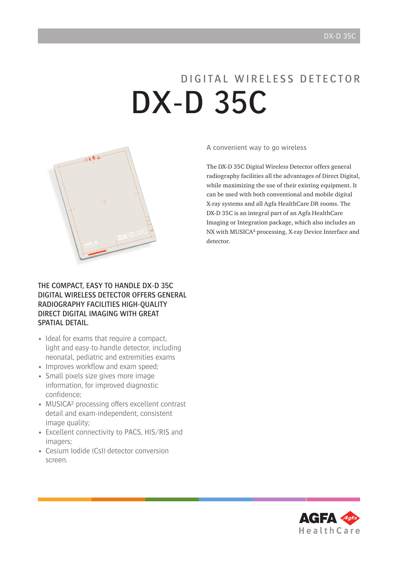# D I G I TA L W I R F L E S S D E T E C T O R DX-D 35C



A convenient way to go wireless

The DX-D 35C Digital Wireless Detector offers general radiography facilities all the advantages of Direct Digital, while maximizing the use of their existing equipment. It can be used with both conventional and mobile digital X-ray systems and all Agfa HealthCare DR rooms. The DX-D 35C is an integral part of an Agfa HealthCare Imaging or Integration package, which also includes an NX with MUSICA² processing, X-ray Device Interface and detector.

### The compact, easy to handle DX-D 35C Digital Wireless Detector offers general radiography facilities high-quality Direct Digital imaging with great SPATIAL DETAIL.

- Ideal for exams that require a compact, light and easy-to-handle detector, including neonatal, pediatric and extremities exams
- Improves workflow and exam speed;
- Small pixels size gives more image information, for improved diagnostic confidence;
- MUSICA<sup>2</sup> processing offers excellent contrast detail and exam-independent, consistent image quality;
- Excellent connectivity to PACS, HIS/RIS and imagers;
- Cesium Iodide (CsI) detector conversion screen.

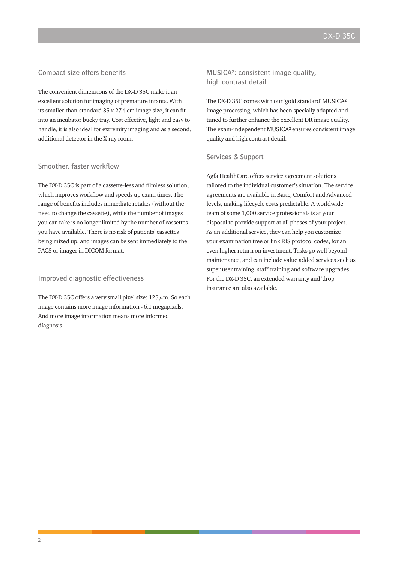#### Compact size offers benefits

The convenient dimensions of the DX-D 35C make it an excellent solution for imaging of premature infants. With its smaller-than-standard 35 x 27.4 cm image size, it can fit into an incubator bucky tray. Cost effective, light and easy to handle, it is also ideal for extremity imaging and as a second, additional detector in the X-ray room.

#### Smoother, faster workflow

The DX-D 35C is part of a cassette-less and filmless solution, which improves workflow and speeds up exam times. The range of benefits includes immediate retakes (without the need to change the cassette), while the number of images you can take is no longer limited by the number of cassettes you have available. There is no risk of patients' cassettes being mixed up, and images can be sent immediately to the PACS or imager in DICOM format.

#### Improved diagnostic effectiveness

The DX-D 35C offers a very small pixel size:  $125 \mu m$ . So each image contains more image information - 6.1 megapixels. And more image information means more informed diagnosis.

MUSICA²: consistent image quality, high contrast detail

The DX-D 35C comes with our 'gold standard' MUSICA² image processing, which has been specially adapted and tuned to further enhance the excellent DR image quality. The exam-independent MUSICA² ensures consistent image quality and high contrast detail.

#### Services & Support

Agfa HealthCare offers service agreement solutions tailored to the individual customer's situation. The service agreements are available in Basic, Comfort and Advanced levels, making lifecycle costs predictable. A worldwide team of some 1,000 service professionals is at your disposal to provide support at all phases of your project. As an additional service, they can help you customize your examination tree or link RIS protocol codes, for an even higher return on investment. Tasks go well beyond maintenance, and can include value added services such as super user training, staff training and software upgrades. For the DX-D 35C, an extended warranty and 'drop' insurance are also available.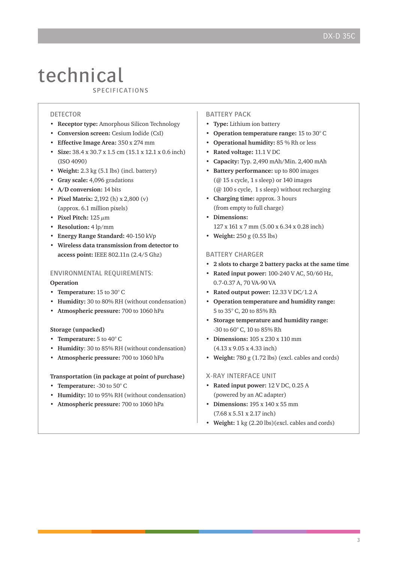## technical CUULITIIV

#### DETECTOR

- **Receptor type:** Amorphous Silicon Technology
- **Conversion screen:** Cesium Iodide (CsI)
- **Effective Image Area:** 350 x 274 mm
- **Size:** 38.4 x 30.7 x 1.5 cm (15.1 x 12.1 x 0.6 inch) (ISO 4090)
- **Weight:** 2.3 kg (5.1 lbs) (incl. battery)
- **Gray scale:** 4,096 gradations
- **A/D conversion:** 14 bits
- **Pixel Matrix:** 2,192 (h) x 2,800 (v) (approx. 6.1 million pixels)
- **Pixel Pitch:** 125 μm
- **Resolution:** 4 lp/mm
- **Energy Range Standard:** 40-150 kVp
- **Wireless data transmission from detector to access point:** IEEE 802.11n (2.4/5 Ghz)

#### Environmental requirements: **Operation**

- **• Temperature:** 15 to 30° C
- **Humidity:** 30 to 80% RH (without condensation)
- **Atmospheric pressure:** 700 to 1060 hPa

#### **Storage (unpacked)**

- **• Temperature:** 5 to 40° C
- **Humidity**: 30 to 85% RH (without condensation)
- **Atmospheric pressure:** 700 to 1060 hPa

#### **Transportation (in package at point of purchase)**

- **• Temperature:** -30 to 50° C
- **Humidity:** 10 to 95% RH (without condensation)
- **Atmospheric pressure:** 700 to 1060 hPa

#### Battery Pack

- **• Type:** Lithium ion battery
- **Operation temperature range:** 15 to 30° C
- **Operational humidity:** 85 % Rh or less
- **Rated voltage:** 11.1 V DC
- **Capacity:** Typ. 2,490 mAh/Min. 2,400 mAh
- **Battery performance:** up to 800 images (@ 15 s cycle, 1 s sleep) or 140 images (@ 100 s cycle, 1 s sleep) without recharging
- **Charging time:** approx. 3 hours (from empty to full charge)
- **Dimensions:** 127 x 161 x 7 mm (5.00 x 6.34 x 0.28 inch)
- **Weight:** 250 g (0.55 lbs)

#### Battery charger

- **• 2 slots to charge 2 battery packs at the same time**
- **• Rated input power:** 100-240 V AC, 50/60 Hz, 0.7-0.37 A, 70 VA-90 VA
- **Rated output power:** 12.33 V DC/1.2 A
- **Operation temperature and humidity range:** 5 to 35° C, 20 to 85% Rh
- **Storage temperature and humidity range:** -30 to 60° C, 10 to 85% Rh
- **Dimensions:** 105 x 230 x 110 mm (4.13 x 9.05 x 4.33 inch)
- **Weight:** 780 g (1.72 lbs) (excl. cables and cords)

#### X-ray Interface Unit

- **• Rated input power:** 12 V DC, 0.25 A (powered by an AC adapter)
- **Dimensions:** 195 x 140 x 55 mm (7.68 x 5.51 x 2.17 inch)
- **Weight:** 1 kg (2.20 lbs)(excl. cables and cords)